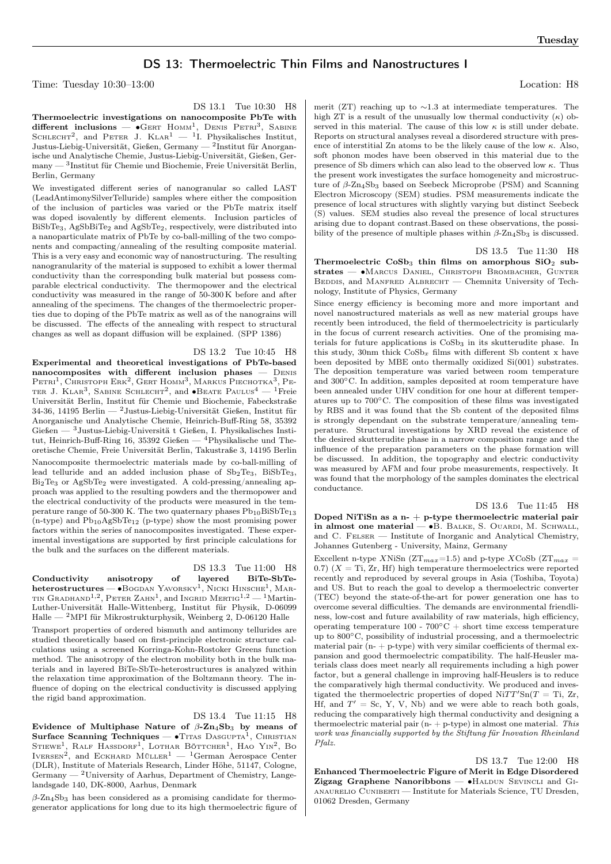# DS 13: Thermoelectric Thin Films and Nanostructures I

Time: Tuesday 10:30–13:00 Location: H8

DS 13.1 Tue 10:30 H8

Thermoelectric investigations on nanocomposite PbTe with different inclusions —  $\bullet$ GERT HOMM<sup>1</sup>, DENIS PETRI<sup>3</sup>, SABINE SCHLECHT<sup>2</sup>, and PETER J. KLAR<sup>1</sup>  $-$  <sup>1</sup>I. Physikalisches Institut, Justus-Liebig-Universität, Gießen, Germany —  $^2$ Institut für Anorganische und Analytische Chemie, Justus-Liebig-Universität, Gießen, Germany — <sup>3</sup> Institut für Chemie und Biochemie, Freie Universität Berlin, Berlin, Germany

We investigated different series of nanogranular so called LAST (LeadAntimonySilverTelluride) samples where either the composition of the inclusion of particles was varied or the PbTe matrix itself was doped isovalently by different elements. Inclusion particles of BiSbTe3, AgSbBiTe<sup>2</sup> and AgSbTe2, respectively, were distributed into a nanoparticulate matrix of PbTe by co-ball-milling of the two components and compacting/annealing of the resulting composite material. This is a very easy and economic way of nanostructuring. The resulting nanogranularity of the material is supposed to exhibit a lower thermal conductivity than the corresponding bulk material but possess comparable electrical conductivity. The thermopower and the electrical conductivity was measured in the range of 50-300 K before and after annealing of the specimens. The changes of the thermoelectric properties due to doping of the PbTe matrix as well as of the nanograins will be discussed. The effects of the annealing with respect to structural changes as well as dopant diffusion will be explained. (SPP 1386)

#### DS 13.2 Tue 10:45 H8

Experimental and theoretical investigations of PbTe-based nanocomposites with different inclusion phases — Denis  ${\rm PETRI}^1,$  Christoph Erk<sup>2</sup>, Gert Homm<sup>3</sup>, Markus Piechotka<sup>3</sup>, Pe-TER J. KLAR<sup>3</sup>, SABINE SCHLECHT<sup>2</sup>, and  $\bullet$ Beate Paulus<sup>4</sup> — <sup>1</sup>Freie Universität Berlin, Institut für Chemie und Biochemie, Fabeckstraße 34-36, 14195 Berlin — <sup>2</sup>Justus-Liebig-Universität Gießen, Institut für Anorganische und Analytische Chemie, Heinrich-Buff-Ring 58, 35392  $\rm{Gie\acute{e}en}$ <br/> $-$ 3 Justus-Liebig-Universitä t Gießen, I. Physikalisches Insti tut, Heinrich-Buff-Ring 16, 35392 Gießen — <sup>4</sup>Physikalische und Theoretische Chemie, Freie Universität Berlin, Takustraße 3, 14195 Berlin

Nanocomposite thermoelectric materials made by co-ball-milling of lead telluride and an added inclusion phase of  $Sb_2Te_3$ ,  $BiSbTe_3$ , Bi2Te<sup>3</sup> or AgSbTe<sup>2</sup> were investigated. A cold-pressing/annealing approach was applied to the resulting powders and the thermopower and the electrical conductivity of the products were measured in the temperature range of 50-300 K. The two quaternary phases  $\mathrm{Pb_{10}BiSbTe_{13}}$  $(n$ -type) and  $Pb_{10}AgSbTe_{12}$  (p-type) show the most promising power factors within the series of nanocomposites investigated. These experimental investigations are supported by first principle calculations for the bulk and the surfaces on the different materials.

# DS 13.3 Tue 11:00 H8

Conductivity anisotropy of layered BiTe-SbTe- ${\bf heterostructures}$  —  $\bullet$ Bogdan Yavorsky<sup>1</sup>, Nicki Hinsche<sup>1</sup>, Mar-TIN GRADHAND<sup>1,2</sup>, PETER ZAHN<sup>1</sup>, and INGRID MERTIG<sup>1,2</sup> — <sup>1</sup>Martin-Luther-Universität Halle-Wittenberg, Institut für Physik, D-06099  $\,$  Halle  $^2$  MPI für Mikrostrukturphysik, Weinberg 2, D-06120 Halle

Transport properties of ordered bismuth and antimony tellurides are studied theoretically based on first-principle electronic structure calculations using a screened Korringa-Kohn-Rostoker Greens function method. The anisotropy of the electron mobility both in the bulk materials and in layered BiTe-SbTe-heterostructures is analyzed within the relaxation time approximation of the Boltzmann theory. The influence of doping on the electrical conductivity is discussed applying the rigid band approximation.

# DS 13.4 Tue 11:15 H8

Evidence of Multiphase Nature of  $\beta$ -Zn<sub>4</sub>Sb<sub>3</sub> by means of Surface Scanning Techniques —  $\bullet$ Titas Dasgupta<sup>1</sup>, Christian Stiewe<sup>1</sup>, Ralf Hassdorf<sup>1</sup>, Lothar Böttcher<sup>1</sup>, Hao Yin<sup>2</sup>, Bo IVERSEN<sup>2</sup>, and ECKHARD MÜLLER<sup>1</sup> — <sup>1</sup>German Aerospace Center (DLR), Institute of Materials Research, Linder Höhe, 51147, Cologne,  $Germanv - 2$ University of Aarhus, Department of Chemistry, Langelandsgade 140, DK-8000, Aarhus, Denmark

 $\beta$ -Zn<sub>4</sub>Sb<sub>3</sub> has been considered as a promising candidate for thermogenerator applications for long due to its high thermoelectric figure of

merit (ZT) reaching up to ∼1.3 at intermediate temperatures. The high ZT is a result of the unusually low thermal conductivity  $(\kappa)$  observed in this material. The cause of this low  $\kappa$  is still under debate. Reports on structural analyses reveal a disordered structure with presence of interstitial Zn atoms to be the likely cause of the low  $\kappa$ . Also, soft phonon modes have been observed in this material due to the presence of Sb dimers which can also lead to the observed low  $\kappa$ . Thus the present work investigates the surface homogeneity and microstructure of  $\beta$ -Zn<sub>4</sub>Sb<sub>3</sub> based on Seebeck Microprobe (PSM) and Scanning Electron Microscopy (SEM) studies. PSM measurements indicate the presence of local structures with slightly varying but distinct Seebeck (S) values. SEM studies also reveal the presence of local structures arising due to dopant contrast.Based on these observations, the possibility of the presence of multiple phases within  $\beta$ -Zn<sub>4</sub>Sb<sub>3</sub> is discussed.

### DS 13.5 Tue 11:30 H8

Thermoelectric  $CoSb<sub>3</sub>$  thin films on amorphous  $SiO<sub>2</sub>$  substrates — ∙Marcus Daniel, Christoph Brombacher, Gunter BEDDIS, and MANFRED ALBRECHT — Chemnitz University of Technology, Institute of Physics, Germany

Since energy efficiency is becoming more and more important and novel nanostructured materials as well as new material groups have recently been introduced, the field of thermoelectricity is particularly in the focus of current research activities. One of the promising materials for future applications is  $CoSb<sub>3</sub>$  in its skutterudite phase. In this study, 30nm thick  $\cos b_x$  films with different Sb content x have been deposited by MBE onto thermally oxidized Si(001) substrates. The deposition temperature was varied between room temperature and 300∘C. In addition, samples deposited at room temperature have been annealed under UHV condition for one hour at different temperatures up to 700∘C. The composition of these films was investigated by RBS and it was found that the Sb content of the deposited films is strongly dependant on the substrate temperature/annealing temperature. Structural investigations by XRD reveal the existence of the desired skutterudite phase in a narrow composition range and the influence of the preparation parameters on the phase formation will be discussed. In addition, the topography and electric conductivity was measured by AFM and four probe measurements, respectively. It was found that the morphology of the samples dominates the electrical conductance.

#### DS 13.6 Tue 11:45 H8

Doped NiTiSn as a n-  $+$  p-type thermoelectric material pair in almost one material  $\bullet$ B. BALKE, S. OUARDI, M. SCHWALL, and C. Felser — Institute of Inorganic and Analytical Chemistry, Johannes Gutenberg - University, Mainz, Germany

Excellent n-type XNiSn (ZT<sub>max</sub>=1.5) and p-type XCoSb (ZT<sub>max</sub> = 0.7)  $(X = Ti, Zr, Hf)$  high temperature thermoelectrics were reported recently and reproduced by several groups in Asia (Toshiba, Toyota) and US. But to reach the goal to develop a thermoelectric converter (TEC) beyond the state-of-the-art for power generation one has to overcome several difficulties. The demands are environmental friendliness, low-cost and future availability of raw materials, high efficiency, operating temperature  $100 - 700^{\circ}\text{C} + \text{short time excess temperature}$ up to 800∘C, possibility of industrial processing, and a thermoelectric material pair  $(n - p - type)$  with very similar coefficients of thermal expansion and good thermoelectric compatibility. The half-Heusler materials class does meet nearly all requirements including a high power factor, but a general challenge in improving half-Heuslers is to reduce the comparatively high thermal conductivity. We produced and investigated the thermoelectric properties of doped  $\text{Ni} TT' \text{Sn}(T = \text{Ti}, Zr)$ , Hf, and  $T' = Sc$ , Y, V, Nb) and we were able to reach both goals, reducing the comparatively high thermal conductivity and designing a thermoelectric material pair  $(n + p-type)$  in almost one material. This work was financially supported by the Stiftung für Inovation Rheinland Pfalz.

DS 13.7 Tue 12:00 H8 Enhanced Thermoelectric Figure of Merit in Edge Disordered Zigzag Graphene Nanoribbons — ∙Haldun Sevincli and Gianaurelio Cuniberti — Institute for Materials Science, TU Dresden, 01062 Dresden, Germany